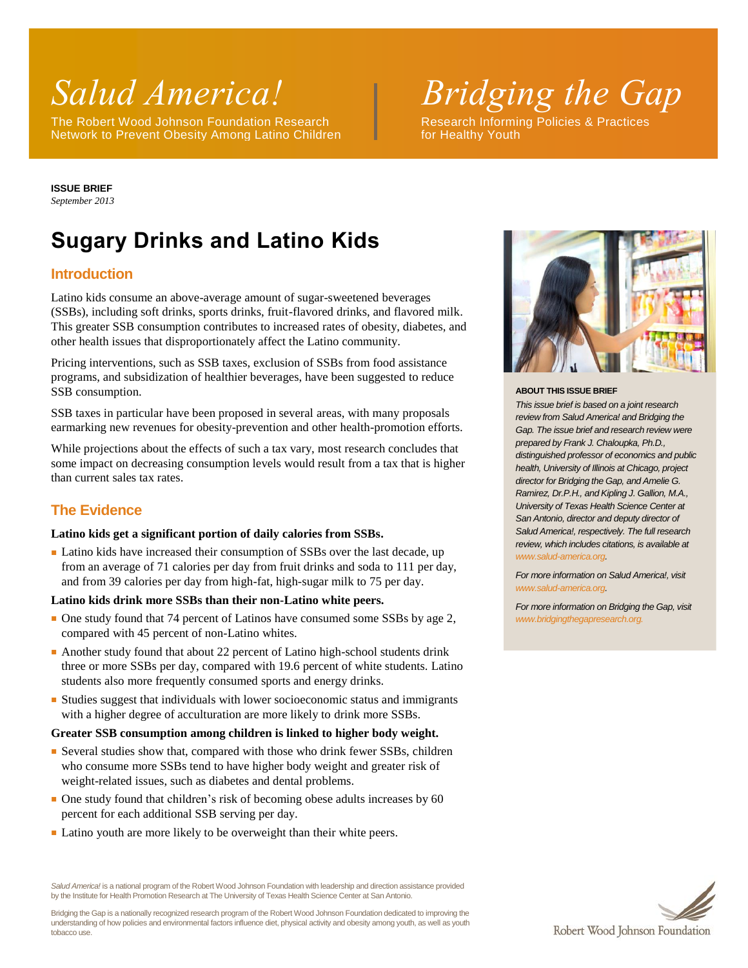The Robert Wood Johnson Foundation Research Research Informing Policies & Practices Network to Prevent Obesity Among Latino Children **Follow For Healthy Youth** 

*Salud America! Bridging the Gap*

**ISSUE BRIEF** *September 2013*

# **Sugary Drinks and Latino Kids**

# **Introduction**

Latino kids consume an above-average amount of sugar-sweetened beverages (SSBs), including soft drinks, sports drinks, fruit-flavored drinks, and flavored milk. This greater SSB consumption contributes to increased rates of obesity, diabetes, and other health issues that disproportionately affect the Latino community.

Pricing interventions, such as SSB taxes, exclusion of SSBs from food assistance programs, and subsidization of healthier beverages, have been suggested to reduce SSB consumption.

SSB taxes in particular have been proposed in several areas, with many proposals earmarking new revenues for obesity-prevention and other health-promotion efforts.

While projections about the effects of such a tax vary, most research concludes that some impact on decreasing consumption levels would result from a tax that is higher than current sales tax rates.

# **The Evidence**

### **Latino kids get a significant portion of daily calories from SSBs.**

■ Latino kids have increased their consumption of SSBs over the last decade, up from an average of 71 calories per day from fruit drinks and soda to 111 per day, and from 39 calories per day from high-fat, high-sugar milk to 75 per day.

### **Latino kids drink more SSBs than their non-Latino white peers.**

- One study found that 74 percent of Latinos have consumed some SSBs by age 2, compared with 45 percent of non-Latino whites.
- Another study found that about 22 percent of Latino high-school students drink three or more SSBs per day, compared with 19.6 percent of white students. Latino students also more frequently consumed sports and energy drinks.
- Studies suggest that individuals with lower socioeconomic status and immigrants with a higher degree of acculturation are more likely to drink more SSBs.

#### **Greater SSB consumption among children is linked to higher body weight.**

- Several studies show that, compared with those who drink fewer SSBs, children who consume more SSBs tend to have higher body weight and greater risk of weight-related issues, such as diabetes and dental problems.
- One study found that children's risk of becoming obese adults increases by 60 percent for each additional SSB serving per day.
- Latino youth are more likely to be overweight than their white peers.

*Salud America!* is a national program of the Robert Wood Johnson Foundation with leadership and direction assistance provided by the Institute for Health Promotion Research at The University of Texas Health Science Center at San Antonio.

Bridging the Gap is a nationally recognized research program of the Robert Wood Johnson Foundation dedicated to improving the understanding of how policies and environmental factors influence diet, physical activity and obesity among youth, as well as youth tobacco use.



#### **ABOUT THIS ISSUE BRIEF**

*This issue brief is based on a joint research review from Salud America! and Bridging the Gap. The issue brief and research review were prepared by Frank J. Chaloupka, Ph.D., distinguished professor of economics and public health, University of Illinois at Chicago, project director for Bridging the Gap, and Amelie G. Ramirez, Dr.P.H., and Kipling J. Gallion, M.A., University of Texas Health Science Center at San Antonio, director and deputy director of Salud America!, respectively. The full research review, which includes citations, is available at [www.salud-america.org.](http://www.salud-america.org/)* 

*For more information on Salud America!, visit [www.salud-america.org.](http://www.salud-america.org/)*

*For more information on Bridging the Gap, visit [www.bridgingthegapresearch.org.](http://www.bridgingthegapresearch.org/)*